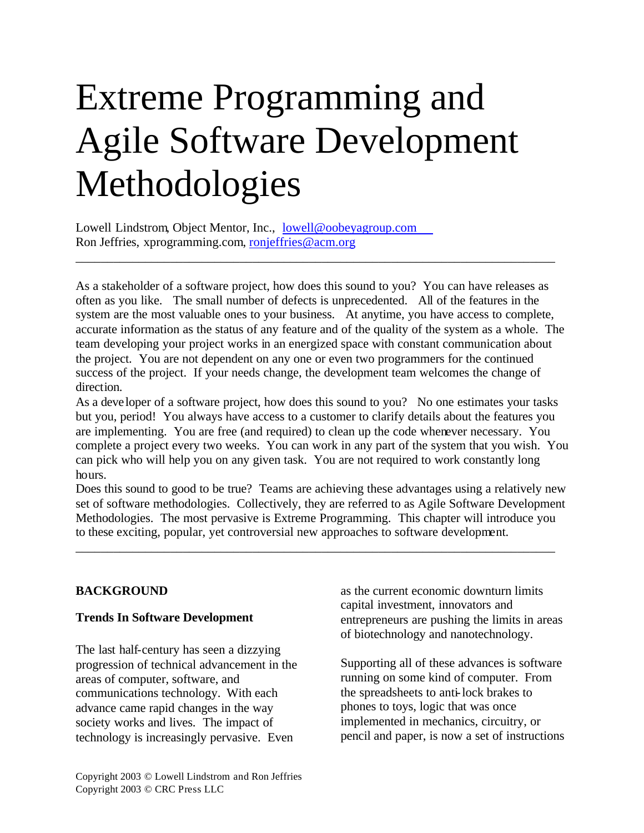# Extreme Programming and Agile Software Development Methodologies

Lowell Lindstrom, Object Mentor, Inc., lowell@oobeyagroup.com Ron Jeffries, xprogramming.com, ronjeffries@acm.org

As a stakeholder of a software project, how does this sound to you? You can have releases as often as you like. The small number of defects is unprecedented. All of the features in the system are the most valuable ones to your business. At anytime, you have access to complete, accurate information as the status of any feature and of the quality of the system as a whole. The team developing your project works in an energized space with constant communication about the project. You are not dependent on any one or even two programmers for the continued success of the project. If your needs change, the development team welcomes the change of direction.

\_\_\_\_\_\_\_\_\_\_\_\_\_\_\_\_\_\_\_\_\_\_\_\_\_\_\_\_\_\_\_\_\_\_\_\_\_\_\_\_\_\_\_\_\_\_\_\_\_\_\_\_\_\_\_\_\_\_\_\_\_\_\_\_\_\_\_\_\_\_\_\_\_\_\_\_

As a developer of a software project, how does this sound to you? No one estimates your tasks but you, period! You always have access to a customer to clarify details about the features you are implementing. You are free (and required) to clean up the code whenever necessary. You complete a project every two weeks. You can work in any part of the system that you wish. You can pick who will help you on any given task. You are not required to work constantly long hours.

Does this sound to good to be true? Teams are achieving these advantages using a relatively new set of software methodologies. Collectively, they are referred to as Agile Software Development Methodologies. The most pervasive is Extreme Programming. This chapter will introduce you to these exciting, popular, yet controversial new approaches to software development.

\_\_\_\_\_\_\_\_\_\_\_\_\_\_\_\_\_\_\_\_\_\_\_\_\_\_\_\_\_\_\_\_\_\_\_\_\_\_\_\_\_\_\_\_\_\_\_\_\_\_\_\_\_\_\_\_\_\_\_\_\_\_\_\_\_\_\_\_\_\_\_\_\_\_\_\_

# **BACKGROUND**

### **Trends In Software Development**

The last half-century has seen a dizzying progression of technical advancement in the areas of computer, software, and communications technology. With each advance came rapid changes in the way society works and lives. The impact of technology is increasingly pervasive. Even

as the current economic downturn limits capital investment, innovators and entrepreneurs are pushing the limits in areas of biotechnology and nanotechnology.

Supporting all of these advances is software running on some kind of computer. From the spreadsheets to anti-lock brakes to phones to toys, logic that was once implemented in mechanics, circuitry, or pencil and paper, is now a set of instructions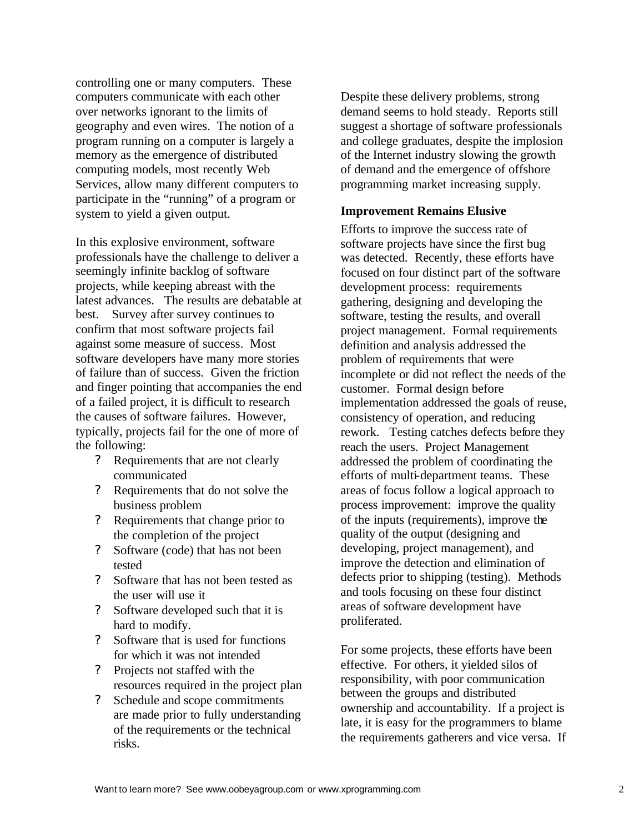controlling one or many computers. These computers communicate with each other over networks ignorant to the limits of geography and even wires. The notion of a program running on a computer is largely a memory as the emergence of distributed computing models, most recently Web Services, allow many different computers to participate in the "running" of a program or system to yield a given output.

In this explosive environment, software professionals have the challenge to deliver a seemingly infinite backlog of software projects, while keeping abreast with the latest advances. The results are debatable at best. Survey after survey continues to confirm that most software projects fail against some measure of success. Most software developers have many more stories of failure than of success. Given the friction and finger pointing that accompanies the end of a failed project, it is difficult to research the causes of software failures. However, typically, projects fail for the one of more of the following:

- ? Requirements that are not clearly communicated
- ? Requirements that do not solve the business problem
- ? Requirements that change prior to the completion of the project
- ? Software (code) that has not been tested
- ? Software that has not been tested as the user will use it
- ? Software developed such that it is hard to modify.
- ? Software that is used for functions for which it was not intended
- ? Projects not staffed with the resources required in the project plan
- ? Schedule and scope commitments are made prior to fully understanding of the requirements or the technical risks.

Despite these delivery problems, strong demand seems to hold steady. Reports still suggest a shortage of software professionals and college graduates, despite the implosion of the Internet industry slowing the growth of demand and the emergence of offshore programming market increasing supply.

## **Improvement Remains Elusive**

Efforts to improve the success rate of software projects have since the first bug was detected. Recently, these efforts have focused on four distinct part of the software development process: requirements gathering, designing and developing the software, testing the results, and overall project management. Formal requirements definition and analysis addressed the problem of requirements that were incomplete or did not reflect the needs of the customer. Formal design before implementation addressed the goals of reuse, consistency of operation, and reducing rework. Testing catches defects before they reach the users. Project Management addressed the problem of coordinating the efforts of multi-department teams. These areas of focus follow a logical approach to process improvement: improve the quality of the inputs (requirements), improve the quality of the output (designing and developing, project management), and improve the detection and elimination of defects prior to shipping (testing). Methods and tools focusing on these four distinct areas of software development have proliferated.

For some projects, these efforts have been effective. For others, it yielded silos of responsibility, with poor communication between the groups and distributed ownership and accountability. If a project is late, it is easy for the programmers to blame the requirements gatherers and vice versa. If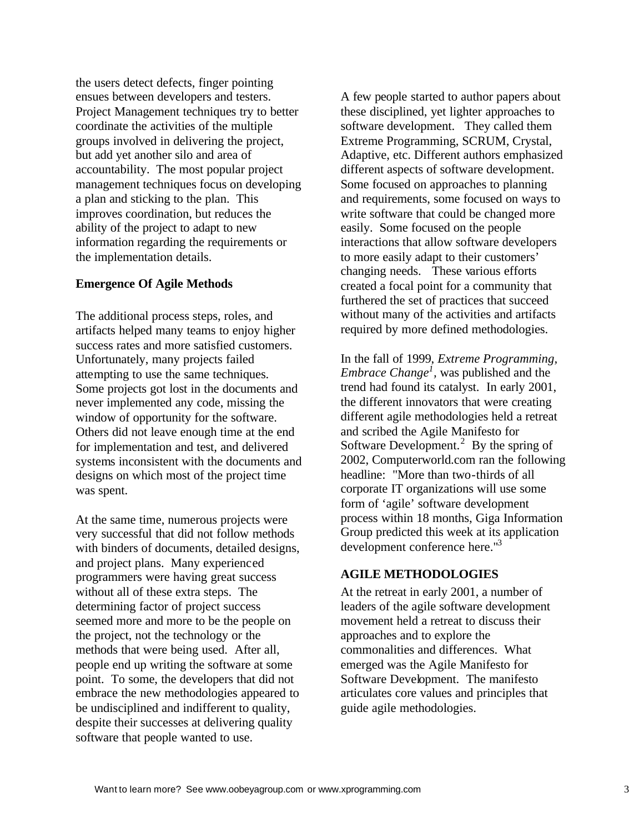the users detect defects, finger pointing ensues between developers and testers. Project Management techniques try to better coordinate the activities of the multiple groups involved in delivering the project, but add yet another silo and area of accountability. The most popular project management techniques focus on developing a plan and sticking to the plan. This improves coordination, but reduces the ability of the project to adapt to new information regarding the requirements or the implementation details.

#### **Emergence Of Agile Methods**

The additional process steps, roles, and artifacts helped many teams to enjoy higher success rates and more satisfied customers. Unfortunately, many projects failed attempting to use the same techniques. Some projects got lost in the documents and never implemented any code, missing the window of opportunity for the software. Others did not leave enough time at the end for implementation and test, and delivered systems inconsistent with the documents and designs on which most of the project time was spent.

At the same time, numerous projects were very successful that did not follow methods with binders of documents, detailed designs, and project plans. Many experienced programmers were having great success without all of these extra steps. The determining factor of project success seemed more and more to be the people on the project, not the technology or the methods that were being used. After all, people end up writing the software at some point. To some, the developers that did not embrace the new methodologies appeared to be undisciplined and indifferent to quality, despite their successes at delivering quality software that people wanted to use.

A few people started to author papers about these disciplined, yet lighter approaches to software development. They called them Extreme Programming, SCRUM, Crystal, Adaptive, etc. Different authors emphasized different aspects of software development. Some focused on approaches to planning and requirements, some focused on ways to write software that could be changed more easily. Some focused on the people interactions that allow software developers to more easily adapt to their customers' changing needs. These various efforts created a focal point for a community that furthered the set of practices that succeed without many of the activities and artifacts required by more defined methodologies.

In the fall of 1999, *Extreme Programming, Embrace Change<sup>1</sup> ,* was published and the trend had found its catalyst. In early 2001, the different innovators that were creating different agile methodologies held a retreat and scribed the Agile Manifesto for Software Development. $2$  By the spring of 2002, Computerworld.com ran the following headline: "More than two-thirds of all corporate IT organizations will use some form of 'agile' software development process within 18 months, Giga Information Group predicted this week at its application development conference here."<sup>3</sup>

## **AGILE METHODOLOGIES**

At the retreat in early 2001, a number of leaders of the agile software development movement held a retreat to discuss their approaches and to explore the commonalities and differences. What emerged was the Agile Manifesto for Software Development. The manifesto articulates core values and principles that guide agile methodologies.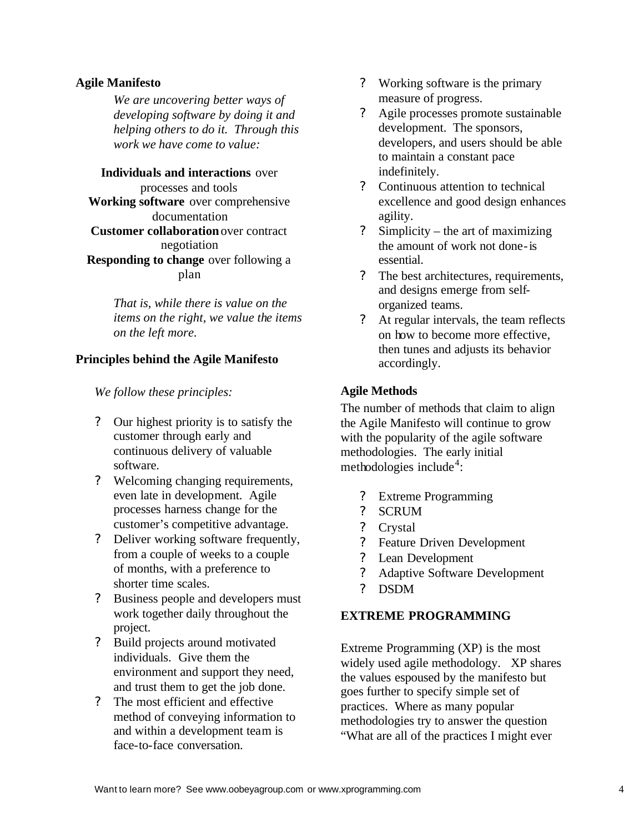# **Agile Manifesto**

*We are uncovering better ways of developing software by doing it and helping others to do it. Through this work we have come to value:*

**Individuals and interactions** over processes and tools **Working software** over comprehensive documentation **Customer collaboration** over contract negotiation **Responding to change** over following a plan

> *That is, while there is value on the items on the right, we value the items on the left more.*

# **Principles behind the Agile Manifesto**

*We follow these principles:*

- ? Our highest priority is to satisfy the customer through early and continuous delivery of valuable software.
- ? Welcoming changing requirements, even late in development. Agile processes harness change for the customer's competitive advantage.
- ? Deliver working software frequently, from a couple of weeks to a couple of months, with a preference to shorter time scales.
- ? Business people and developers must work together daily throughout the project.
- ? Build projects around motivated individuals. Give them the environment and support they need, and trust them to get the job done.
- ? The most efficient and effective method of conveying information to and within a development team is face-to-face conversation.
- ? Working software is the primary measure of progress.
- ? Agile processes promote sustainable development. The sponsors, developers, and users should be able to maintain a constant pace indefinitely.
- ? Continuous attention to technical excellence and good design enhances agility.
- ? Simplicity the art of maximizing the amount of work not done-is essential.
- ? The best architectures, requirements, and designs emerge from selforganized teams.
- ? At regular intervals, the team reflects on how to become more effective, then tunes and adjusts its behavior accordingly.

# **Agile Methods**

The number of methods that claim to align the Agile Manifesto will continue to grow with the popularity of the agile software methodologies. The early initial  $methodologies include<sup>4</sup>:$ 

- ? Extreme Programming
- ? SCRUM
- ? Crystal
- ? Feature Driven Development
- ? Lean Development
- ? Adaptive Software Development
- ? DSDM

# **EXTREME PROGRAMMING**

Extreme Programming (XP) is the most widely used agile methodology. XP shares the values espoused by the manifesto but goes further to specify simple set of practices. Where as many popular methodologies try to answer the question "What are all of the practices I might ever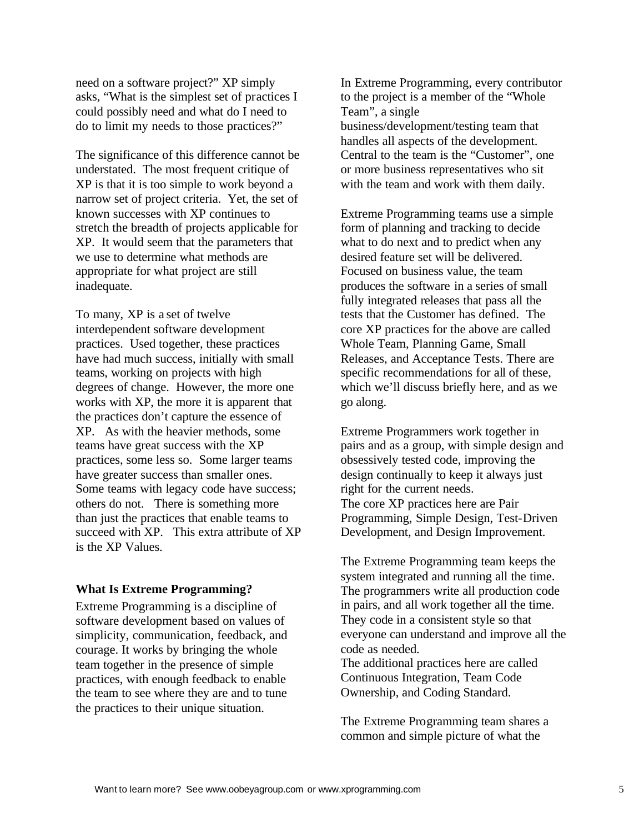need on a software project?" XP simply asks, "What is the simplest set of practices I could possibly need and what do I need to do to limit my needs to those practices?"

The significance of this difference cannot be understated. The most frequent critique of XP is that it is too simple to work beyond a narrow set of project criteria. Yet, the set of known successes with XP continues to stretch the breadth of projects applicable for XP. It would seem that the parameters that we use to determine what methods are appropriate for what project are still inadequate.

To many, XP is a set of twelve interdependent software development practices. Used together, these practices have had much success, initially with small teams, working on projects with high degrees of change. However, the more one works with XP, the more it is apparent that the practices don't capture the essence of XP. As with the heavier methods, some teams have great success with the XP practices, some less so. Some larger teams have greater success than smaller ones. Some teams with legacy code have success; others do not. There is something more than just the practices that enable teams to succeed with XP. This extra attribute of XP is the XP Values.

### **What Is Extreme Programming?**

Extreme Programming is a discipline of software development based on values of simplicity, communication, feedback, and courage. It works by bringing the whole team together in the presence of simple practices, with enough feedback to enable the team to see where they are and to tune the practices to their unique situation.

In Extreme Programming, every contributor to the project is a member of the "Whole Team", a single business/development/testing team that handles all aspects of the development. Central to the team is the "Customer", one or more business representatives who sit with the team and work with them daily.

Extreme Programming teams use a simple form of planning and tracking to decide what to do next and to predict when any desired feature set will be delivered. Focused on business value, the team produces the software in a series of small fully integrated releases that pass all the tests that the Customer has defined. The core XP practices for the above are called Whole Team, Planning Game, Small Releases, and Acceptance Tests. There are specific recommendations for all of these, which we'll discuss briefly here, and as we go along.

Extreme Programmers work together in pairs and as a group, with simple design and obsessively tested code, improving the design continually to keep it always just right for the current needs. The core XP practices here are Pair Programming, Simple Design, Test-Driven Development, and Design Improvement.

The Extreme Programming team keeps the system integrated and running all the time. The programmers write all production code in pairs, and all work together all the time. They code in a consistent style so that everyone can understand and improve all the code as needed. The additional practices here are called

Continuous Integration, Team Code Ownership, and Coding Standard.

The Extreme Programming team shares a common and simple picture of what the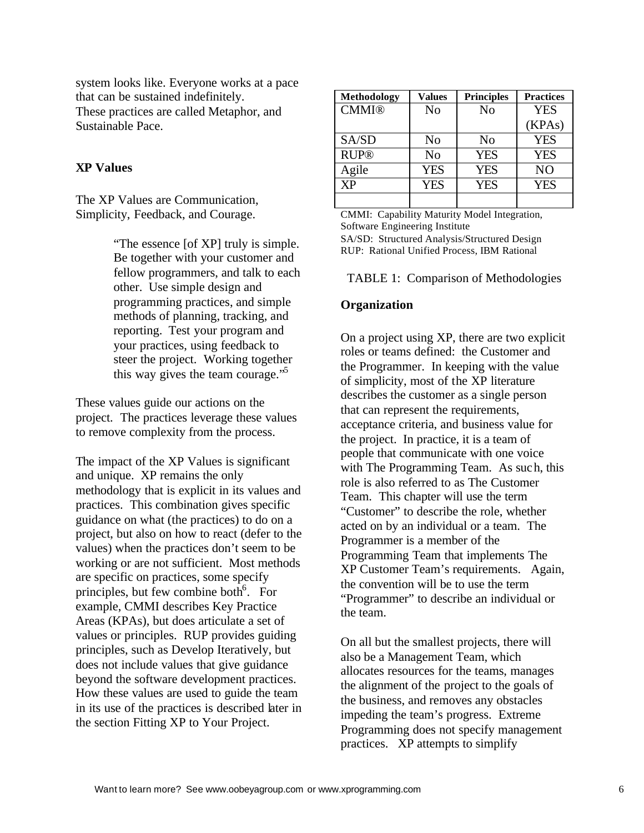system looks like. Everyone works at a pace that can be sustained indefinitely. These practices are called Metaphor, and Sustainable Pace.

## **XP Values**

The XP Values are Communication, Simplicity, Feedback, and Courage.

> "The essence [of XP] truly is simple. Be together with your customer and fellow programmers, and talk to each other. Use simple design and programming practices, and simple methods of planning, tracking, and reporting. Test your program and your practices, using feedback to steer the project. Working together this way gives the team courage.<sup>55</sup>

These values guide our actions on the project. The practices leverage these values to remove complexity from the process.

The impact of the XP Values is significant and unique. XP remains the only methodology that is explicit in its values and practices. This combination gives specific guidance on what (the practices) to do on a project, but also on how to react (defer to the values) when the practices don't seem to be working or are not sufficient. Most methods are specific on practices, some specify principles, but few combine both<sup>6</sup>. For example, CMMI describes Key Practice Areas (KPAs), but does articulate a set of values or principles. RUP provides guiding principles, such as Develop Iteratively, but does not include values that give guidance beyond the software development practices. How these values are used to guide the team in its use of the practices is described later in the section Fitting XP to Your Project.

| Methodology  | <b>Values</b>  | <b>Principles</b> | <b>Practices</b> |
|--------------|----------------|-------------------|------------------|
| <b>CMMI®</b> | N <sub>o</sub> | N <sub>o</sub>    | <b>YES</b>       |
|              |                |                   | (KPAs)           |
| SA/SD        | No             | No                | <b>YES</b>       |
| <b>RUP®</b>  | N <sub>0</sub> | <b>YES</b>        | <b>YES</b>       |
| Agile        | <b>YES</b>     | <b>YES</b>        | NO               |
| XР           | <b>YES</b>     | <b>YES</b>        | <b>YES</b>       |
|              |                |                   |                  |

CMMI: Capability Maturity Model Integration, Software Engineering Institute SA/SD: Structured Analysis/Structured Design RUP: Rational Unified Process, IBM Rational

TABLE 1: Comparison of Methodologies

#### **Organization**

On a project using XP, there are two explicit roles or teams defined: the Customer and the Programmer. In keeping with the value of simplicity, most of the XP literature describes the customer as a single person that can represent the requirements, acceptance criteria, and business value for the project. In practice, it is a team of people that communicate with one voice with The Programming Team. As such, this role is also referred to as The Customer Team. This chapter will use the term "Customer" to describe the role, whether acted on by an individual or a team. The Programmer is a member of the Programming Team that implements The XP Customer Team's requirements. Again, the convention will be to use the term "Programmer" to describe an individual or the team.

On all but the smallest projects, there will also be a Management Team, which allocates resources for the teams, manages the alignment of the project to the goals of the business, and removes any obstacles impeding the team's progress. Extreme Programming does not specify management practices. XP attempts to simplify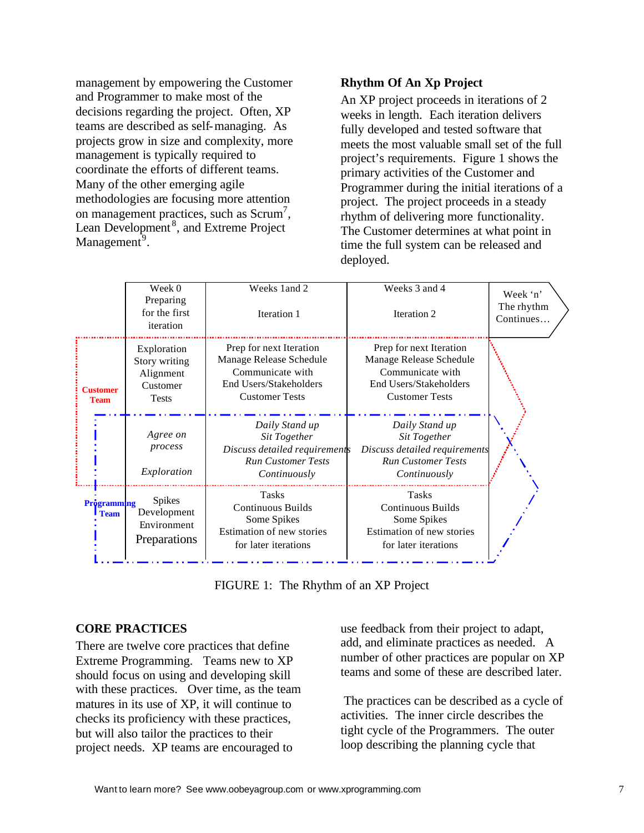management by empowering the Customer and Programmer to make most of the decisions regarding the project. Often, XP teams are described as self-managing. As projects grow in size and complexity, more management is typically required to coordinate the efforts of different teams. Many of the other emerging agile methodologies are focusing more attention on management practices, such as  $Scrum^7$ , Lean Development<sup>8</sup>, and Extreme Project Management<sup>9</sup>.

# **Rhythm Of An Xp Project**

An XP project proceeds in iterations of 2 weeks in length. Each iteration delivers fully developed and tested software that meets the most valuable small set of the full project's requirements. Figure 1 shows the primary activities of the Customer and Programmer during the initial iterations of a project. The project proceeds in a steady rhythm of delivering more functionality. The Customer determines at what point in time the full system can be released and deployed.

|                                   | Week 0<br>Preparing<br>for the first<br>iteration                     | Weeks 1 and 2<br>Iteration 1                                                                                              | Weeks 3 and 4<br>Iteration 2                                                                                              | Week 'n'<br>The rhythm<br>Continues |
|-----------------------------------|-----------------------------------------------------------------------|---------------------------------------------------------------------------------------------------------------------------|---------------------------------------------------------------------------------------------------------------------------|-------------------------------------|
| <b>Customer</b><br><b>Team</b>    | Exploration<br>Story writing<br>Alignment<br>Customer<br><b>Tests</b> | Prep for next Iteration<br>Manage Release Schedule<br>Communicate with<br>End Users/Stakeholders<br><b>Customer Tests</b> | Prep for next Iteration<br>Manage Release Schedule<br>Communicate with<br>End Users/Stakeholders<br><b>Customer Tests</b> |                                     |
|                                   | Agree on<br>process<br>Exploration                                    | Daily Stand up<br>Sit Together<br>Discuss detailed requirements<br><b>Run Customer Tests</b><br>Continuously              | Daily Stand up<br>Sit Together<br>Discuss detailed requirements<br><b>Run Customer Tests</b><br>Continuously              |                                     |
| <b>Programming</b><br><b>Team</b> | <b>Spikes</b><br>Development<br>Environment<br>Preparations           | <b>Tasks</b><br><b>Continuous Builds</b><br>Some Spikes<br>Estimation of new stories<br>for later iterations              | <b>Tasks</b><br>Continuous Builds<br>Some Spikes<br>Estimation of new stories<br>for later iterations                     |                                     |

FIGURE 1: The Rhythm of an XP Project

# **CORE PRACTICES**

There are twelve core practices that define Extreme Programming. Teams new to XP should focus on using and developing skill with these practices. Over time, as the team matures in its use of XP, it will continue to checks its proficiency with these practices, but will also tailor the practices to their project needs. XP teams are encouraged to

use feedback from their project to adapt, add, and eliminate practices as needed. A number of other practices are popular on XP teams and some of these are described later.

 The practices can be described as a cycle of activities. The inner circle describes the tight cycle of the Programmers. The outer loop describing the planning cycle that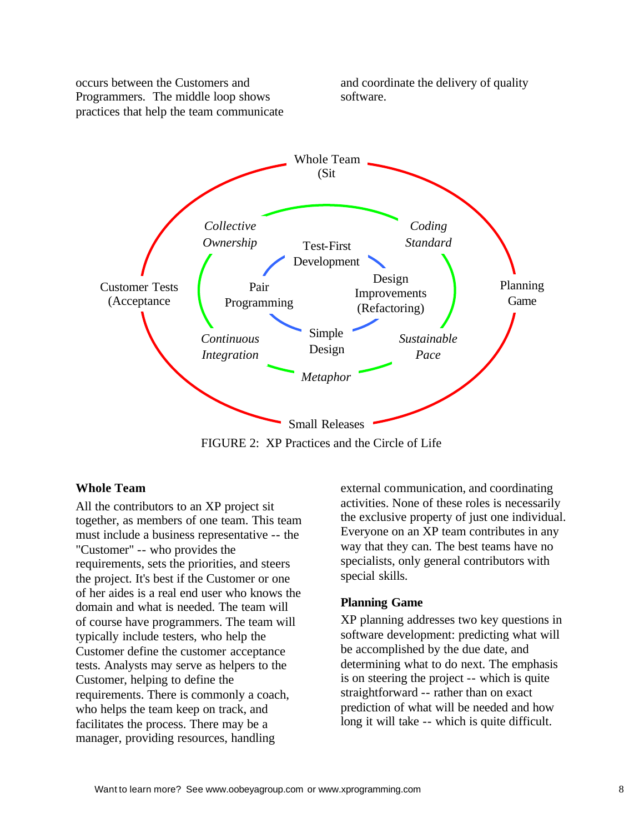occurs between the Customers and Programmers. The middle loop shows practices that help the team communicate

and coordinate the delivery of quality software.



FIGURE 2: XP Practices and the Circle of Life

#### **Whole Team**

All the contributors to an XP project sit together, as members of one team. This team must include a business representative -- the "Customer" -- who provides the requirements, sets the priorities, and steers the project. It's best if the Customer or one of her aides is a real end user who knows the domain and what is needed. The team will of course have programmers. The team will typically include testers, who help the Customer define the customer acceptance tests. Analysts may serve as helpers to the Customer, helping to define the requirements. There is commonly a coach, who helps the team keep on track, and facilitates the process. There may be a manager, providing resources, handling

external communication, and coordinating activities. None of these roles is necessarily the exclusive property of just one individual. Everyone on an XP team contributes in any way that they can. The best teams have no specialists, only general contributors with special skills.

#### **Planning Game**

XP planning addresses two key questions in software development: predicting what will be accomplished by the due date, and determining what to do next. The emphasis is on steering the project -- which is quite straightforward -- rather than on exact prediction of what will be needed and how long it will take -- which is quite difficult.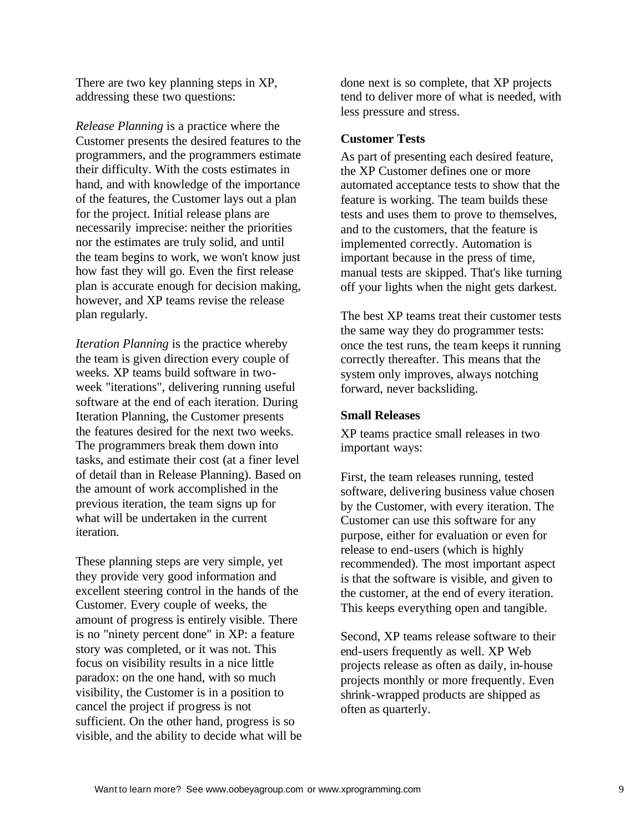There are two key planning steps in XP, addressing these two questions:

*Release Planning* is a practice where the Customer presents the desired features to the programmers, and the programmers estimate their difficulty. With the costs estimates in hand, and with knowledge of the importance of the features, the Customer lays out a plan for the project. Initial release plans are necessarily imprecise: neither the priorities nor the estimates are truly solid, and until the team begins to work, we won't know just how fast they will go. Even the first release plan is accurate enough for decision making, however, and XP teams revise the release plan regularly.

*Iteration Planning* is the practice whereby the team is given direction every couple of weeks. XP teams build software in twoweek "iterations", delivering running useful software at the end of each iteration. During Iteration Planning, the Customer presents the features desired for the next two weeks. The programmers break them down into tasks, and estimate their cost (at a finer level of detail than in Release Planning). Based on the amount of work accomplished in the previous iteration, the team signs up for what will be undertaken in the current iteration.

These planning steps are very simple, yet they provide very good information and excellent steering control in the hands of the Customer. Every couple of weeks, the amount of progress is entirely visible. There is no "ninety percent done" in XP: a feature story was completed, or it was not. This focus on visibility results in a nice little paradox: on the one hand, with so much visibility, the Customer is in a position to cancel the project if progress is not sufficient. On the other hand, progress is so visible, and the ability to decide what will be done next is so complete, that XP projects tend to deliver more of what is needed, with less pressure and stress.

### **Customer Tests**

As part of presenting each desired feature, the XP Customer defines one or more automated acceptance tests to show that the feature is working. The team builds these tests and uses them to prove to themselves, and to the customers, that the feature is implemented correctly. Automation is important because in the press of time, manual tests are skipped. That's like turning off your lights when the night gets darkest.

The best XP teams treat their customer tests the same way they do programmer tests: once the test runs, the team keeps it running correctly thereafter. This means that the system only improves, always notching forward, never backsliding.

## **Small Releases**

XP teams practice small releases in two important ways:

First, the team releases running, tested software, delivering business value chosen by the Customer, with every iteration. The Customer can use this software for any purpose, either for evaluation or even for release to end-users (which is highly recommended). The most important aspect is that the software is visible, and given to the customer, at the end of every iteration. This keeps everything open and tangible.

Second, XP teams release software to their end-users frequently as well. XP Web projects release as often as daily, in-house projects monthly or more frequently. Even shrink-wrapped products are shipped as often as quarterly.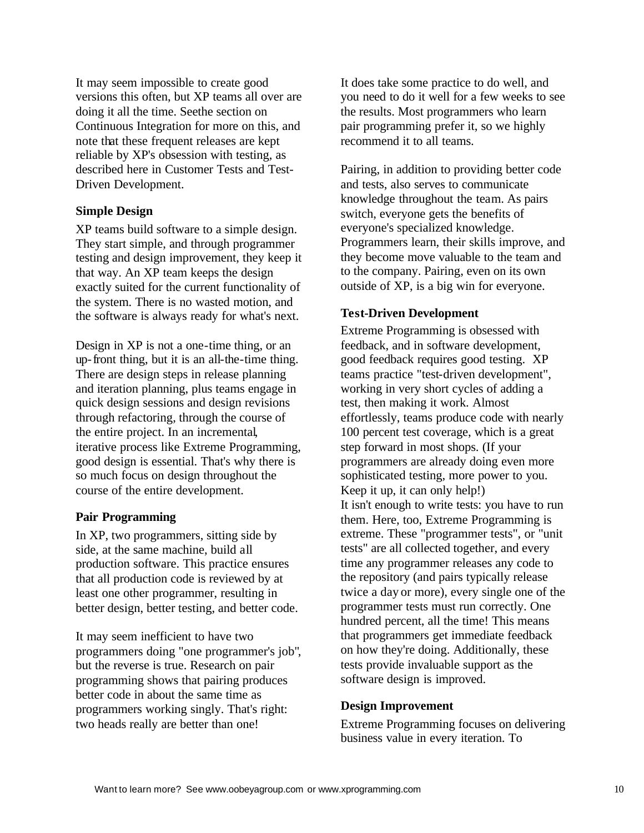It may seem impossible to create good versions this often, but XP teams all over are doing it all the time. Seethe section on Continuous Integration for more on this, and note that these frequent releases are kept reliable by XP's obsession with testing, as described here in Customer Tests and Test-Driven Development.

# **Simple Design**

XP teams build software to a simple design. They start simple, and through programmer testing and design improvement, they keep it that way. An XP team keeps the design exactly suited for the current functionality of the system. There is no wasted motion, and the software is always ready for what's next.

Design in XP is not a one-time thing, or an up-front thing, but it is an all-the-time thing. There are design steps in release planning and iteration planning, plus teams engage in quick design sessions and design revisions through refactoring, through the course of the entire project. In an incremental, iterative process like Extreme Programming, good design is essential. That's why there is so much focus on design throughout the course of the entire development.

## **Pair Programming**

In XP, two programmers, sitting side by side, at the same machine, build all production software. This practice ensures that all production code is reviewed by at least one other programmer, resulting in better design, better testing, and better code.

It may seem inefficient to have two programmers doing "one programmer's job", but the reverse is true. Research on pair programming shows that pairing produces better code in about the same time as programmers working singly. That's right: two heads really are better than one!

It does take some practice to do well, and you need to do it well for a few weeks to see the results. Most programmers who learn pair programming prefer it, so we highly recommend it to all teams.

Pairing, in addition to providing better code and tests, also serves to communicate knowledge throughout the team. As pairs switch, everyone gets the benefits of everyone's specialized knowledge. Programmers learn, their skills improve, and they become move valuable to the team and to the company. Pairing, even on its own outside of XP, is a big win for everyone.

## **Test-Driven Development**

Extreme Programming is obsessed with feedback, and in software development, good feedback requires good testing. XP teams practice "test-driven development", working in very short cycles of adding a test, then making it work. Almost effortlessly, teams produce code with nearly 100 percent test coverage, which is a great step forward in most shops. (If your programmers are already doing even more sophisticated testing, more power to you. Keep it up, it can only help!) It isn't enough to write tests: you have to run them. Here, too, Extreme Programming is extreme. These "programmer tests", or "unit tests" are all collected together, and every time any programmer releases any code to the repository (and pairs typically release twice a day or more), every single one of the programmer tests must run correctly. One hundred percent, all the time! This means that programmers get immediate feedback on how they're doing. Additionally, these tests provide invaluable support as the software design is improved.

# **Design Improvement**

Extreme Programming focuses on delivering business value in every iteration. To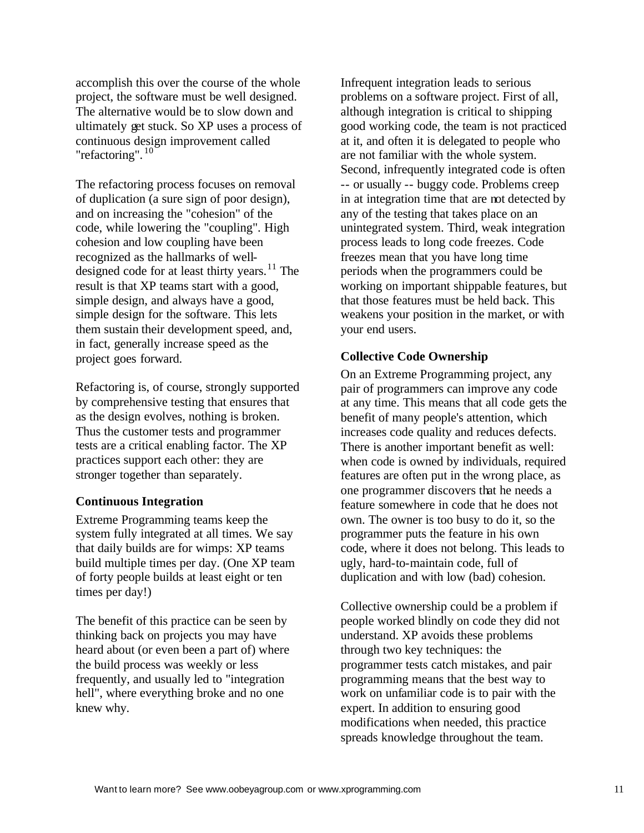accomplish this over the course of the whole project, the software must be well designed. The alternative would be to slow down and ultimately get stuck. So XP uses a process of continuous design improvement called "refactoring".<sup>10</sup>

The refactoring process focuses on removal of duplication (a sure sign of poor design), and on increasing the "cohesion" of the code, while lowering the "coupling". High cohesion and low coupling have been recognized as the hallmarks of welldesigned code for at least thirty years.<sup>11</sup> The result is that XP teams start with a good, simple design, and always have a good, simple design for the software. This lets them sustain their development speed, and, in fact, generally increase speed as the project goes forward.

Refactoring is, of course, strongly supported by comprehensive testing that ensures that as the design evolves, nothing is broken. Thus the customer tests and programmer tests are a critical enabling factor. The XP practices support each other: they are stronger together than separately.

# **Continuous Integration**

Extreme Programming teams keep the system fully integrated at all times. We say that daily builds are for wimps: XP teams build multiple times per day. (One XP team of forty people builds at least eight or ten times per day!)

The benefit of this practice can be seen by thinking back on projects you may have heard about (or even been a part of) where the build process was weekly or less frequently, and usually led to "integration hell", where everything broke and no one knew why.

Infrequent integration leads to serious problems on a software project. First of all, although integration is critical to shipping good working code, the team is not practiced at it, and often it is delegated to people who are not familiar with the whole system. Second, infrequently integrated code is often -- or usually -- buggy code. Problems creep in at integration time that are not detected by any of the testing that takes place on an unintegrated system. Third, weak integration process leads to long code freezes. Code freezes mean that you have long time periods when the programmers could be working on important shippable features, but that those features must be held back. This weakens your position in the market, or with your end users.

# **Collective Code Ownership**

On an Extreme Programming project, any pair of programmers can improve any code at any time. This means that all code gets the benefit of many people's attention, which increases code quality and reduces defects. There is another important benefit as well: when code is owned by individuals, required features are often put in the wrong place, as one programmer discovers that he needs a feature somewhere in code that he does not own. The owner is too busy to do it, so the programmer puts the feature in his own code, where it does not belong. This leads to ugly, hard-to-maintain code, full of duplication and with low (bad) cohesion.

Collective ownership could be a problem if people worked blindly on code they did not understand. XP avoids these problems through two key techniques: the programmer tests catch mistakes, and pair programming means that the best way to work on unfamiliar code is to pair with the expert. In addition to ensuring good modifications when needed, this practice spreads knowledge throughout the team.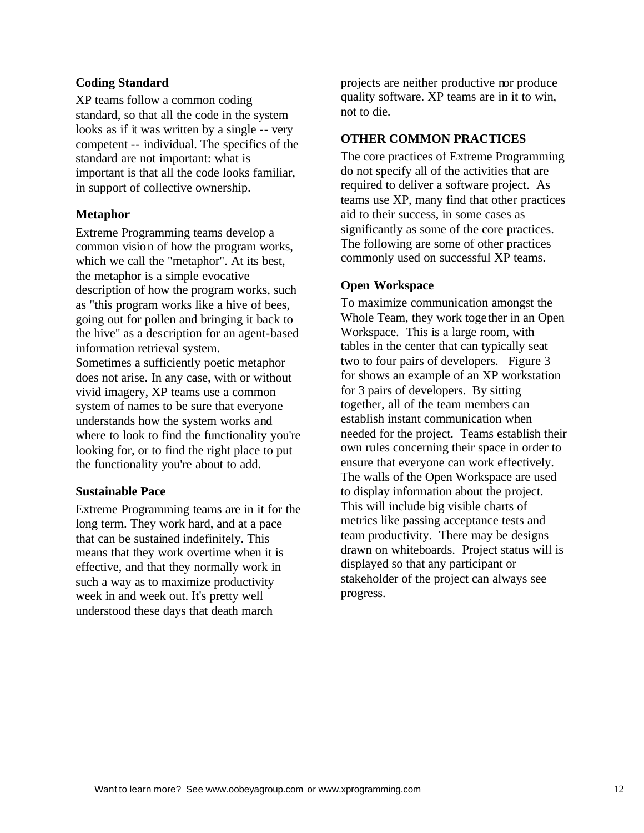## **Coding Standard**

XP teams follow a common coding standard, so that all the code in the system looks as if it was written by a single -- very competent -- individual. The specifics of the standard are not important: what is important is that all the code looks familiar, in support of collective ownership.

## **Metaphor**

Extreme Programming teams develop a common vision of how the program works, which we call the "metaphor". At its best, the metaphor is a simple evocative description of how the program works, such as "this program works like a hive of bees, going out for pollen and bringing it back to the hive" as a description for an agent-based information retrieval system. Sometimes a sufficiently poetic metaphor

does not arise. In any case, with or without vivid imagery, XP teams use a common system of names to be sure that everyone understands how the system works and where to look to find the functionality you're looking for, or to find the right place to put the functionality you're about to add.

### **Sustainable Pace**

Extreme Programming teams are in it for the long term. They work hard, and at a pace that can be sustained indefinitely. This means that they work overtime when it is effective, and that they normally work in such a way as to maximize productivity week in and week out. It's pretty well understood these days that death march

projects are neither productive nor produce quality software. XP teams are in it to win, not to die.

# **OTHER COMMON PRACTICES**

The core practices of Extreme Programming do not specify all of the activities that are required to deliver a software project. As teams use XP, many find that other practices aid to their success, in some cases as significantly as some of the core practices. The following are some of other practices commonly used on successful XP teams.

## **Open Workspace**

To maximize communication amongst the Whole Team, they work toge ther in an Open Workspace. This is a large room, with tables in the center that can typically seat two to four pairs of developers. Figure 3 for shows an example of an XP workstation for 3 pairs of developers. By sitting together, all of the team members can establish instant communication when needed for the project. Teams establish their own rules concerning their space in order to ensure that everyone can work effectively. The walls of the Open Workspace are used to display information about the project. This will include big visible charts of metrics like passing acceptance tests and team productivity. There may be designs drawn on whiteboards. Project status will is displayed so that any participant or stakeholder of the project can always see progress.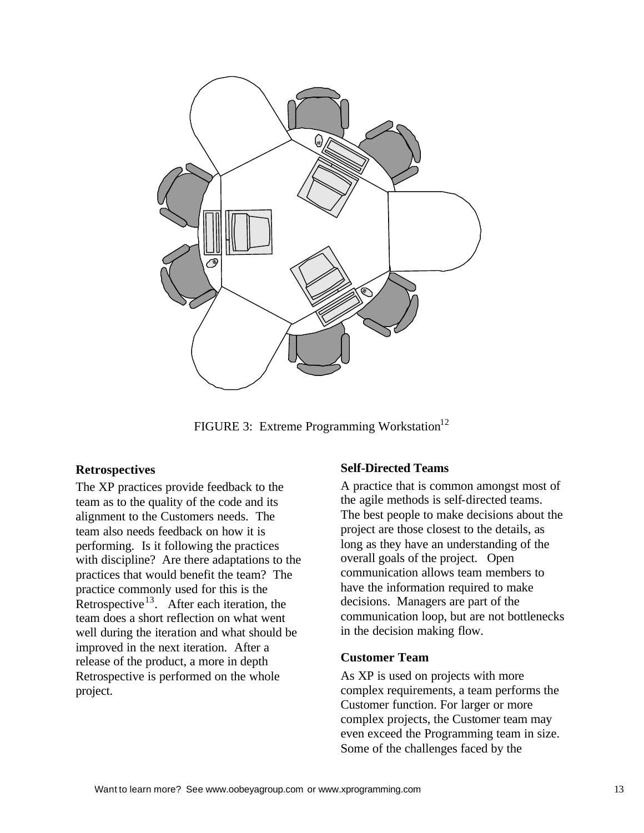

FIGURE 3: Extreme Programming Workstation<sup>12</sup>

# **Retrospectives**

The XP practices provide feedback to the team as to the quality of the code and its alignment to the Customers needs. The team also needs feedback on how it is performing. Is it following the practices with discipline? Are there adaptations to the practices that would benefit the team? The practice commonly used for this is the Retrospective<sup>13</sup>. After each iteration, the team does a short reflection on what went well during the iteration and what should be improved in the next iteration. After a release of the product, a more in depth Retrospective is performed on the whole project.

# **Self-Directed Teams**

A practice that is common amongst most of the agile methods is self-directed teams. The best people to make decisions about the project are those closest to the details, as long as they have an understanding of the overall goals of the project. Open communication allows team members to have the information required to make decisions. Managers are part of the communication loop, but are not bottlenecks in the decision making flow.

### **Customer Team**

As XP is used on projects with more complex requirements, a team performs the Customer function. For larger or more complex projects, the Customer team may even exceed the Programming team in size. Some of the challenges faced by the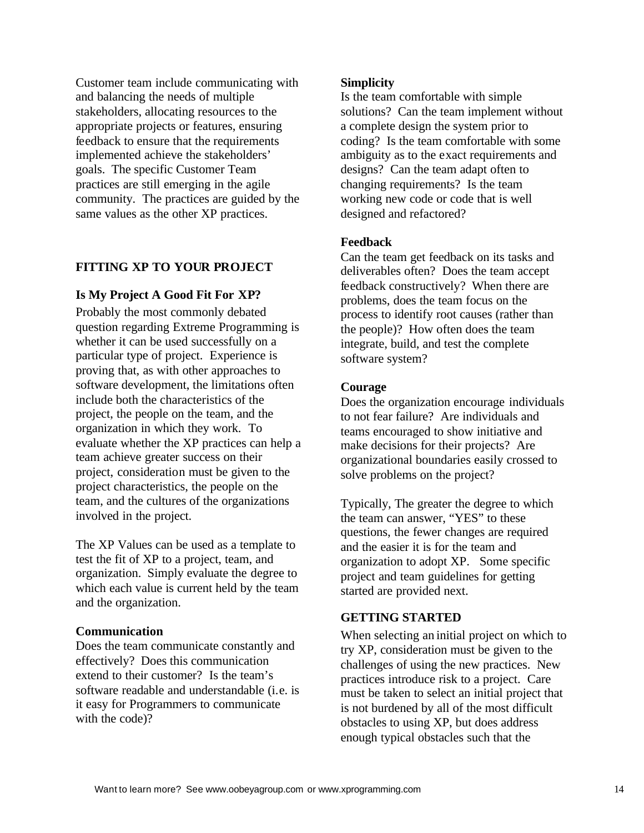Customer team include communicating with and balancing the needs of multiple stakeholders, allocating resources to the appropriate projects or features, ensuring feedback to ensure that the requirements implemented achieve the stakeholders' goals. The specific Customer Team practices are still emerging in the agile community. The practices are guided by the same values as the other XP practices.

#### **FITTING XP TO YOUR PROJECT**

## **Is My Project A Good Fit For XP?**

Probably the most commonly debated question regarding Extreme Programming is whether it can be used successfully on a particular type of project. Experience is proving that, as with other approaches to software development, the limitations often include both the characteristics of the project, the people on the team, and the organization in which they work. To evaluate whether the XP practices can help a team achieve greater success on their project, consideration must be given to the project characteristics, the people on the team, and the cultures of the organizations involved in the project.

The XP Values can be used as a template to test the fit of XP to a project, team, and organization. Simply evaluate the degree to which each value is current held by the team and the organization.

#### **Communication**

Does the team communicate constantly and effectively? Does this communication extend to their customer? Is the team's software readable and understandable (i.e. is it easy for Programmers to communicate with the code)?

#### **Simplicity**

Is the team comfortable with simple solutions? Can the team implement without a complete design the system prior to coding? Is the team comfortable with some ambiguity as to the exact requirements and designs? Can the team adapt often to changing requirements? Is the team working new code or code that is well designed and refactored?

#### **Feedback**

Can the team get feedback on its tasks and deliverables often? Does the team accept feedback constructively? When there are problems, does the team focus on the process to identify root causes (rather than the people)? How often does the team integrate, build, and test the complete software system?

## **Courage**

Does the organization encourage individuals to not fear failure? Are individuals and teams encouraged to show initiative and make decisions for their projects? Are organizational boundaries easily crossed to solve problems on the project?

Typically, The greater the degree to which the team can answer, "YES" to these questions, the fewer changes are required and the easier it is for the team and organization to adopt XP. Some specific project and team guidelines for getting started are provided next.

#### **GETTING STARTED**

When selecting an initial project on which to try XP, consideration must be given to the challenges of using the new practices. New practices introduce risk to a project. Care must be taken to select an initial project that is not burdened by all of the most difficult obstacles to using XP, but does address enough typical obstacles such that the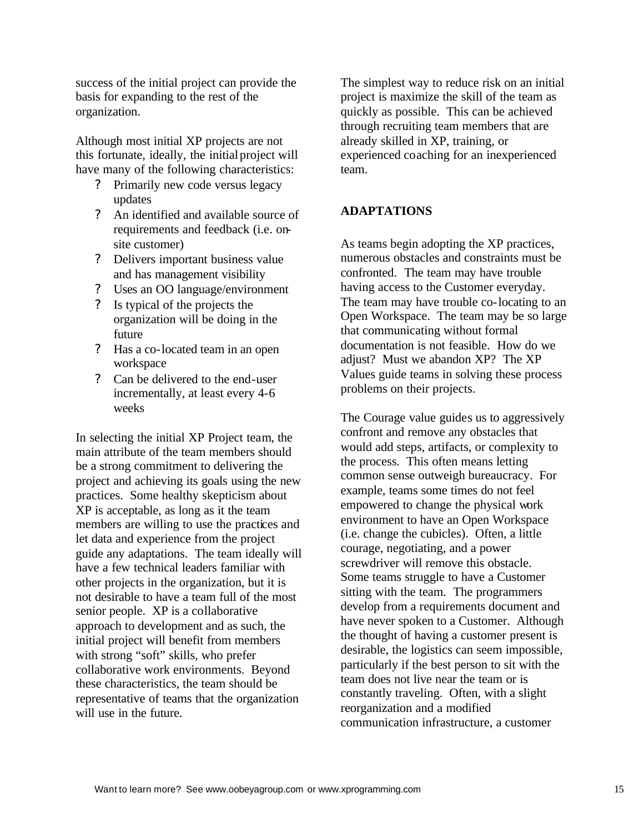success of the initial project can provide the basis for expanding to the rest of the organization.

Although most initial XP projects are not this fortunate, ideally, the initial project will have many of the following characteristics:

- ? Primarily new code versus legacy updates
- ? An identified and available source of requirements and feedback (i.e. onsite customer)
- ? Delivers important business value and has management visibility
- ? Uses an OO language/environment
- ? Is typical of the projects the organization will be doing in the future
- ? Has a co-located team in an open workspace
- ? Can be delivered to the end-user incrementally, at least every 4-6 weeks

In selecting the initial XP Project team, the main attribute of the team members should be a strong commitment to delivering the project and achieving its goals using the new practices. Some healthy skepticism about XP is acceptable, as long as it the team members are willing to use the practices and let data and experience from the project guide any adaptations. The team ideally will have a few technical leaders familiar with other projects in the organization, but it is not desirable to have a team full of the most senior people. XP is a collaborative approach to development and as such, the initial project will benefit from members with strong "soft" skills, who prefer collaborative work environments. Beyond these characteristics, the team should be representative of teams that the organization will use in the future.

The simplest way to reduce risk on an initial project is maximize the skill of the team as quickly as possible. This can be achieved through recruiting team members that are already skilled in XP, training, or experienced coaching for an inexperienced team.

# **ADAPTATIONS**

As teams begin adopting the XP practices, numerous obstacles and constraints must be confronted. The team may have trouble having access to the Customer everyday. The team may have trouble co-locating to an Open Workspace. The team may be so large that communicating without formal documentation is not feasible. How do we adjust? Must we abandon XP? The XP Values guide teams in solving these process problems on their projects.

The Courage value guides us to aggressively confront and remove any obstacles that would add steps, artifacts, or complexity to the process. This often means letting common sense outweigh bureaucracy. For example, teams some times do not feel empowered to change the physical work environment to have an Open Workspace (i.e. change the cubicles). Often, a little courage, negotiating, and a power screwdriver will remove this obstacle. Some teams struggle to have a Customer sitting with the team. The programmers develop from a requirements document and have never spoken to a Customer. Although the thought of having a customer present is desirable, the logistics can seem impossible, particularly if the best person to sit with the team does not live near the team or is constantly traveling. Often, with a slight reorganization and a modified communication infrastructure, a customer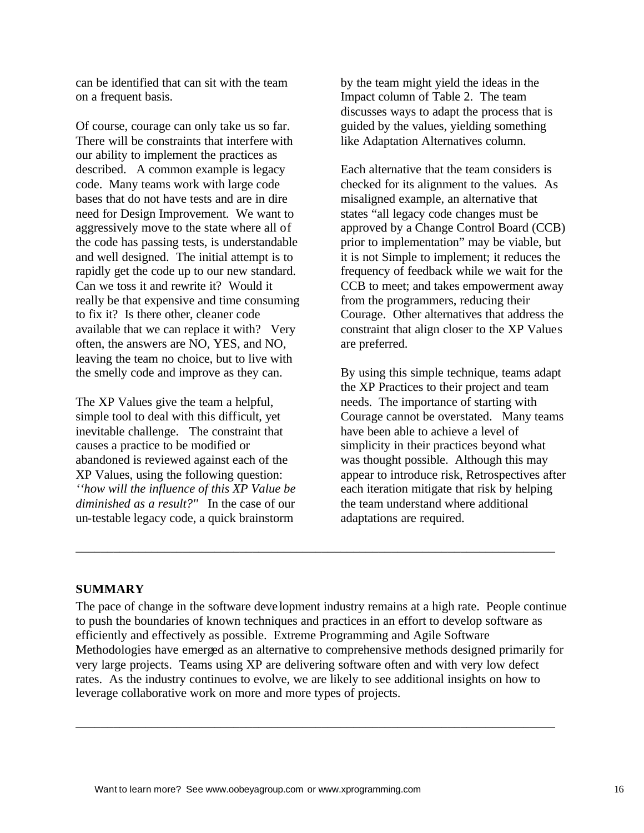can be identified that can sit with the team on a frequent basis.

Of course, courage can only take us so far. There will be constraints that interfere with our ability to implement the practices as described. A common example is legacy code. Many teams work with large code bases that do not have tests and are in dire need for Design Improvement. We want to aggressively move to the state where all of the code has passing tests, is understandable and well designed. The initial attempt is to rapidly get the code up to our new standard. Can we toss it and rewrite it? Would it really be that expensive and time consuming to fix it? Is there other, cleaner code available that we can replace it with? Very often, the answers are NO, YES, and NO, leaving the team no choice, but to live with the smelly code and improve as they can.

The XP Values give the team a helpful, simple tool to deal with this difficult, yet inevitable challenge. The constraint that causes a practice to be modified or abandoned is reviewed against each of the XP Values, using the following question: *''how will the influence of this XP Value be diminished as a result?''* In the case of our un-testable legacy code, a quick brainstorm

by the team might yield the ideas in the Impact column of Table 2. The team discusses ways to adapt the process that is guided by the values, yielding something like Adaptation Alternatives column.

Each alternative that the team considers is checked for its alignment to the values. As misaligned example, an alternative that states "all legacy code changes must be approved by a Change Control Board (CCB) prior to implementation" may be viable, but it is not Simple to implement; it reduces the frequency of feedback while we wait for the CCB to meet; and takes empowerment away from the programmers, reducing their Courage. Other alternatives that address the constraint that align closer to the XP Values are preferred.

By using this simple technique, teams adapt the XP Practices to their project and team needs. The importance of starting with Courage cannot be overstated. Many teams have been able to achieve a level of simplicity in their practices beyond what was thought possible. Although this may appear to introduce risk, Retrospectives after each iteration mitigate that risk by helping the team understand where additional adaptations are required.

# **SUMMARY**

The pace of change in the software deve lopment industry remains at a high rate. People continue to push the boundaries of known techniques and practices in an effort to develop software as efficiently and effectively as possible. Extreme Programming and Agile Software Methodologies have emerged as an alternative to comprehensive methods designed primarily for very large projects. Teams using XP are delivering software often and with very low defect rates. As the industry continues to evolve, we are likely to see additional insights on how to leverage collaborative work on more and more types of projects.

\_\_\_\_\_\_\_\_\_\_\_\_\_\_\_\_\_\_\_\_\_\_\_\_\_\_\_\_\_\_\_\_\_\_\_\_\_\_\_\_\_\_\_\_\_\_\_\_\_\_\_\_\_\_\_\_\_\_\_\_\_\_\_\_\_\_\_\_\_\_\_\_\_\_\_\_

\_\_\_\_\_\_\_\_\_\_\_\_\_\_\_\_\_\_\_\_\_\_\_\_\_\_\_\_\_\_\_\_\_\_\_\_\_\_\_\_\_\_\_\_\_\_\_\_\_\_\_\_\_\_\_\_\_\_\_\_\_\_\_\_\_\_\_\_\_\_\_\_\_\_\_\_